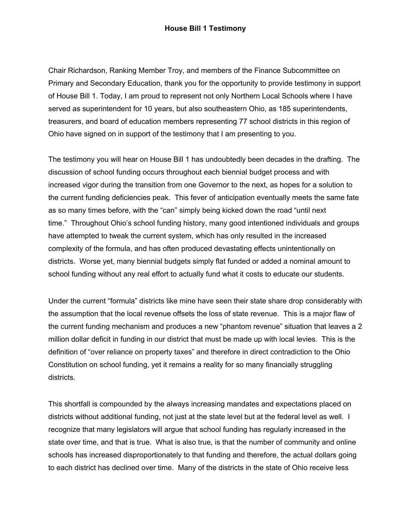Chair Richardson, Ranking Member Troy, and members of the Finance Subcommittee on Primary and Secondary Education, thank you for the opportunity to provide testimony in support of House Bill 1. Today, I am proud to represent not only Northern Local Schools where I have served as superintendent for 10 years, but also southeastern Ohio, as 185 superintendents, treasurers, and board of education members representing 77 school districts in this region of Ohio have signed on in support of the testimony that I am presenting to you.

The testimony you will hear on House Bill 1 has undoubtedly been decades in the drafting. The discussion of school funding occurs throughout each biennial budget process and with increased vigor during the transition from one Governor to the next, as hopes for a solution to the current funding deficiencies peak. This fever of anticipation eventually meets the same fate as so many times before, with the "can" simply being kicked down the road "until next time." Throughout Ohio's school funding history, many good intentioned individuals and groups have attempted to tweak the current system, which has only resulted in the increased complexity of the formula, and has often produced devastating effects unintentionally on districts. Worse yet, many biennial budgets simply flat funded or added a nominal amount to school funding without any real effort to actually fund what it costs to educate our students.

Under the current "formula" districts like mine have seen their state share drop considerably with the assumption that the local revenue offsets the loss of state revenue. This is a major flaw of the current funding mechanism and produces a new "phantom revenue" situation that leaves a 2 million dollar deficit in funding in our district that must be made up with local levies. This is the definition of "over reliance on property taxes" and therefore in direct contradiction to the Ohio Constitution on school funding, yet it remains a reality for so many financially struggling districts.

This shortfall is compounded by the always increasing mandates and expectations placed on districts without additional funding, not just at the state level but at the federal level as well. I recognize that many legislators will argue that school funding has regularly increased in the state over time, and that is true. What is also true, is that the number of community and online schools has increased disproportionately to that funding and therefore, the actual dollars going to each district has declined over time. Many of the districts in the state of Ohio receive less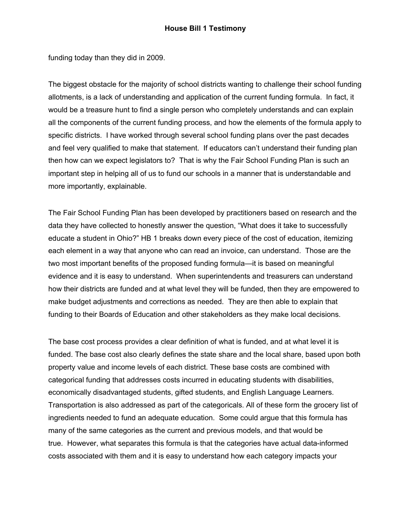funding today than they did in 2009.

The biggest obstacle for the majority of school districts wanting to challenge their school funding allotments, is a lack of understanding and application of the current funding formula. In fact, it would be a treasure hunt to find a single person who completely understands and can explain all the components of the current funding process, and how the elements of the formula apply to specific districts. I have worked through several school funding plans over the past decades and feel very qualified to make that statement. If educators can't understand their funding plan then how can we expect legislators to? That is why the Fair School Funding Plan is such an important step in helping all of us to fund our schools in a manner that is understandable and more importantly, explainable.

The Fair School Funding Plan has been developed by practitioners based on research and the data they have collected to honestly answer the question, "What does it take to successfully educate a student in Ohio?" HB 1 breaks down every piece of the cost of education, itemizing each element in a way that anyone who can read an invoice, can understand. Those are the two most important benefits of the proposed funding formula—it is based on meaningful evidence and it is easy to understand. When superintendents and treasurers can understand how their districts are funded and at what level they will be funded, then they are empowered to make budget adjustments and corrections as needed. They are then able to explain that funding to their Boards of Education and other stakeholders as they make local decisions.

The base cost process provides a clear definition of what is funded, and at what level it is funded. The base cost also clearly defines the state share and the local share, based upon both property value and income levels of each district. These base costs are combined with categorical funding that addresses costs incurred in educating students with disabilities, economically disadvantaged students, gifted students, and English Language Learners. Transportation is also addressed as part of the categoricals. All of these form the grocery list of ingredients needed to fund an adequate education. Some could argue that this formula has many of the same categories as the current and previous models, and that would be true. However, what separates this formula is that the categories have actual data-informed costs associated with them and it is easy to understand how each category impacts your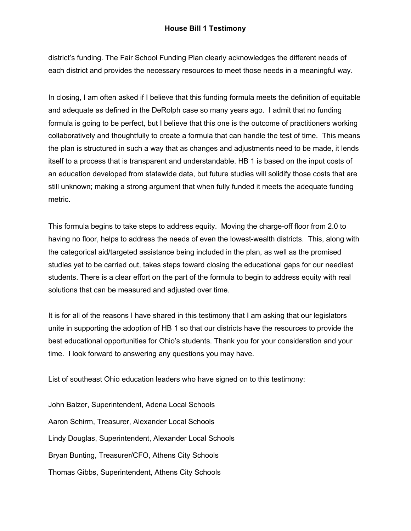district's funding. The Fair School Funding Plan clearly acknowledges the different needs of each district and provides the necessary resources to meet those needs in a meaningful way.

In closing, I am often asked if I believe that this funding formula meets the definition of equitable and adequate as defined in the DeRolph case so many years ago. I admit that no funding formula is going to be perfect, but I believe that this one is the outcome of practitioners working collaboratively and thoughtfully to create a formula that can handle the test of time. This means the plan is structured in such a way that as changes and adjustments need to be made, it lends itself to a process that is transparent and understandable. HB 1 is based on the input costs of an education developed from statewide data, but future studies will solidify those costs that are still unknown; making a strong argument that when fully funded it meets the adequate funding metric.

This formula begins to take steps to address equity. Moving the charge-off floor from 2.0 to having no floor, helps to address the needs of even the lowest-wealth districts. This, along with the categorical aid/targeted assistance being included in the plan, as well as the promised studies yet to be carried out, takes steps toward closing the educational gaps for our neediest students. There is a clear effort on the part of the formula to begin to address equity with real solutions that can be measured and adjusted over time.

It is for all of the reasons I have shared in this testimony that I am asking that our legislators unite in supporting the adoption of HB 1 so that our districts have the resources to provide the best educational opportunities for Ohio's students. Thank you for your consideration and your time. I look forward to answering any questions you may have.

List of southeast Ohio education leaders who have signed on to this testimony:

John Balzer, Superintendent, Adena Local Schools Aaron Schirm, Treasurer, Alexander Local Schools Lindy Douglas, Superintendent, Alexander Local Schools Bryan Bunting, Treasurer/CFO, Athens City Schools Thomas Gibbs, Superintendent, Athens City Schools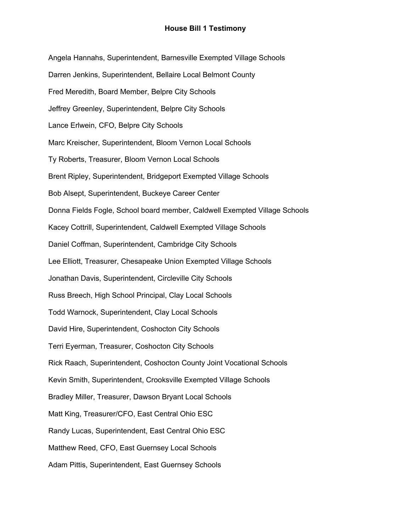Angela Hannahs, Superintendent, Barnesville Exempted Village Schools Darren Jenkins, Superintendent, Bellaire Local Belmont County Fred Meredith, Board Member, Belpre City Schools Jeffrey Greenley, Superintendent, Belpre City Schools Lance Erlwein, CFO, Belpre City Schools Marc Kreischer, Superintendent, Bloom Vernon Local Schools Ty Roberts, Treasurer, Bloom Vernon Local Schools Brent Ripley, Superintendent, Bridgeport Exempted Village Schools Bob Alsept, Superintendent, Buckeye Career Center Donna Fields Fogle, School board member, Caldwell Exempted Village Schools Kacey Cottrill, Superintendent, Caldwell Exempted Village Schools Daniel Coffman, Superintendent, Cambridge City Schools Lee Elliott, Treasurer, Chesapeake Union Exempted Village Schools Jonathan Davis, Superintendent, Circleville City Schools Russ Breech, High School Principal, Clay Local Schools Todd Warnock, Superintendent, Clay Local Schools David Hire, Superintendent, Coshocton City Schools Terri Eyerman, Treasurer, Coshocton City Schools Rick Raach, Superintendent, Coshocton County Joint Vocational Schools Kevin Smith, Superintendent, Crooksville Exempted Village Schools Bradley Miller, Treasurer, Dawson Bryant Local Schools Matt King, Treasurer/CFO, East Central Ohio ESC Randy Lucas, Superintendent, East Central Ohio ESC Matthew Reed, CFO, East Guernsey Local Schools Adam Pittis, Superintendent, East Guernsey Schools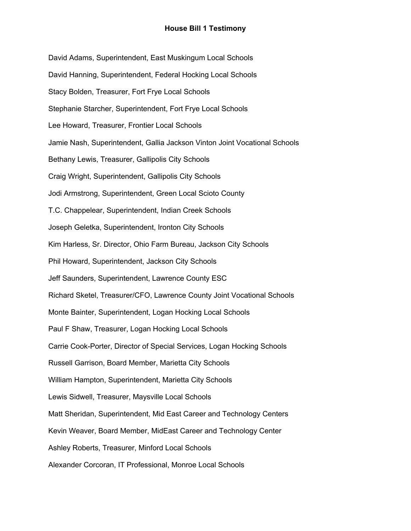David Adams, Superintendent, East Muskingum Local Schools David Hanning, Superintendent, Federal Hocking Local Schools Stacy Bolden, Treasurer, Fort Frye Local Schools Stephanie Starcher, Superintendent, Fort Frye Local Schools Lee Howard, Treasurer, Frontier Local Schools Jamie Nash, Superintendent, Gallia Jackson Vinton Joint Vocational Schools Bethany Lewis, Treasurer, Gallipolis City Schools Craig Wright, Superintendent, Gallipolis City Schools Jodi Armstrong, Superintendent, Green Local Scioto County T.C. Chappelear, Superintendent, Indian Creek Schools Joseph Geletka, Superintendent, Ironton City Schools Kim Harless, Sr. Director, Ohio Farm Bureau, Jackson City Schools Phil Howard, Superintendent, Jackson City Schools Jeff Saunders, Superintendent, Lawrence County ESC Richard Sketel, Treasurer/CFO, Lawrence County Joint Vocational Schools Monte Bainter, Superintendent, Logan Hocking Local Schools Paul F Shaw, Treasurer, Logan Hocking Local Schools Carrie Cook-Porter, Director of Special Services, Logan Hocking Schools Russell Garrison, Board Member, Marietta City Schools William Hampton, Superintendent, Marietta City Schools Lewis Sidwell, Treasurer, Maysville Local Schools Matt Sheridan, Superintendent, Mid East Career and Technology Centers Kevin Weaver, Board Member, MidEast Career and Technology Center Ashley Roberts, Treasurer, Minford Local Schools Alexander Corcoran, IT Professional, Monroe Local Schools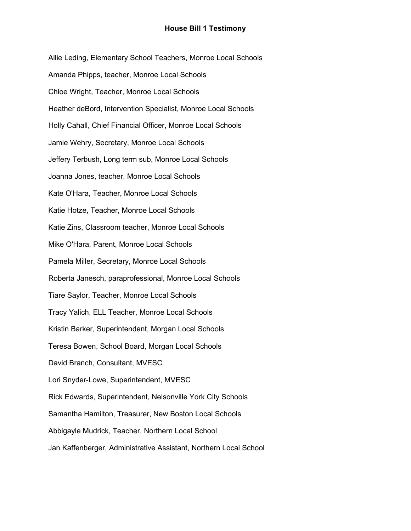Allie Leding, Elementary School Teachers, Monroe Local Schools Amanda Phipps, teacher, Monroe Local Schools Chloe Wright, Teacher, Monroe Local Schools Heather deBord, Intervention Specialist, Monroe Local Schools Holly Cahall, Chief Financial Officer, Monroe Local Schools Jamie Wehry, Secretary, Monroe Local Schools Jeffery Terbush, Long term sub, Monroe Local Schools Joanna Jones, teacher, Monroe Local Schools Kate O'Hara, Teacher, Monroe Local Schools Katie Hotze, Teacher, Monroe Local Schools Katie Zins, Classroom teacher, Monroe Local Schools Mike O'Hara, Parent, Monroe Local Schools Pamela Miller, Secretary, Monroe Local Schools Roberta Janesch, paraprofessional, Monroe Local Schools Tiare Saylor, Teacher, Monroe Local Schools Tracy Yalich, ELL Teacher, Monroe Local Schools Kristin Barker, Superintendent, Morgan Local Schools Teresa Bowen, School Board, Morgan Local Schools David Branch, Consultant, MVESC Lori Snyder-Lowe, Superintendent, MVESC Rick Edwards, Superintendent, Nelsonville York City Schools Samantha Hamilton, Treasurer, New Boston Local Schools Abbigayle Mudrick, Teacher, Northern Local School Jan Kaffenberger, Administrative Assistant, Northern Local School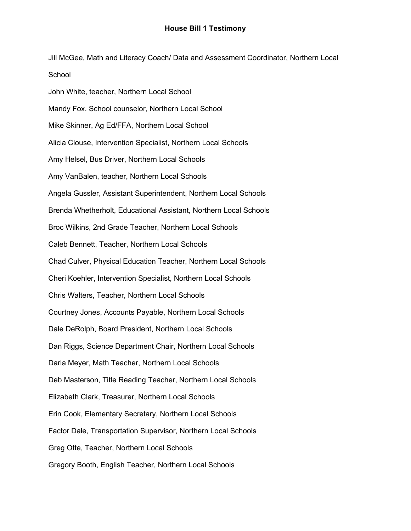Jill McGee, Math and Literacy Coach/ Data and Assessment Coordinator, Northern Local School

John White, teacher, Northern Local School Mandy Fox, School counselor, Northern Local School Mike Skinner, Ag Ed/FFA, Northern Local School Alicia Clouse, Intervention Specialist, Northern Local Schools Amy Helsel, Bus Driver, Northern Local Schools Amy VanBalen, teacher, Northern Local Schools Angela Gussler, Assistant Superintendent, Northern Local Schools Brenda Whetherholt, Educational Assistant, Northern Local Schools Broc Wilkins, 2nd Grade Teacher, Northern Local Schools Caleb Bennett, Teacher, Northern Local Schools Chad Culver, Physical Education Teacher, Northern Local Schools Cheri Koehler, Intervention Specialist, Northern Local Schools Chris Walters, Teacher, Northern Local Schools Courtney Jones, Accounts Payable, Northern Local Schools Dale DeRolph, Board President, Northern Local Schools Dan Riggs, Science Department Chair, Northern Local Schools Darla Meyer, Math Teacher, Northern Local Schools Deb Masterson, Title Reading Teacher, Northern Local Schools Elizabeth Clark, Treasurer, Northern Local Schools Erin Cook, Elementary Secretary, Northern Local Schools Factor Dale, Transportation Supervisor, Northern Local Schools Greg Otte, Teacher, Northern Local Schools Gregory Booth, English Teacher, Northern Local Schools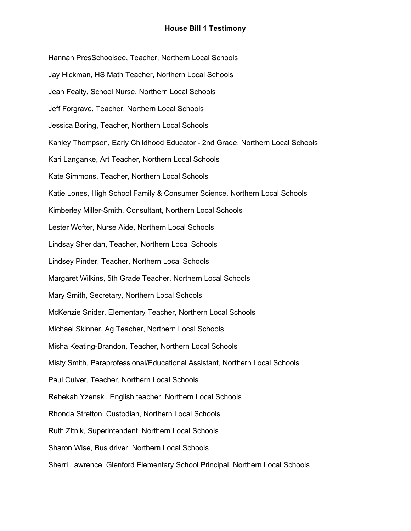Hannah PresSchoolsee, Teacher, Northern Local Schools Jay Hickman, HS Math Teacher, Northern Local Schools Jean Fealty, School Nurse, Northern Local Schools Jeff Forgrave, Teacher, Northern Local Schools Jessica Boring, Teacher, Northern Local Schools Kahley Thompson, Early Childhood Educator - 2nd Grade, Northern Local Schools Kari Langanke, Art Teacher, Northern Local Schools Kate Simmons, Teacher, Northern Local Schools Katie Lones, High School Family & Consumer Science, Northern Local Schools Kimberley Miller-Smith, Consultant, Northern Local Schools Lester Wofter, Nurse Aide, Northern Local Schools Lindsay Sheridan, Teacher, Northern Local Schools Lindsey Pinder, Teacher, Northern Local Schools Margaret Wilkins, 5th Grade Teacher, Northern Local Schools Mary Smith, Secretary, Northern Local Schools McKenzie Snider, Elementary Teacher, Northern Local Schools Michael Skinner, Ag Teacher, Northern Local Schools Misha Keating-Brandon, Teacher, Northern Local Schools Misty Smith, Paraprofessional/Educational Assistant, Northern Local Schools Paul Culver, Teacher, Northern Local Schools Rebekah Yzenski, English teacher, Northern Local Schools Rhonda Stretton, Custodian, Northern Local Schools Ruth Zitnik, Superintendent, Northern Local Schools Sharon Wise, Bus driver, Northern Local Schools Sherri Lawrence, Glenford Elementary School Principal, Northern Local Schools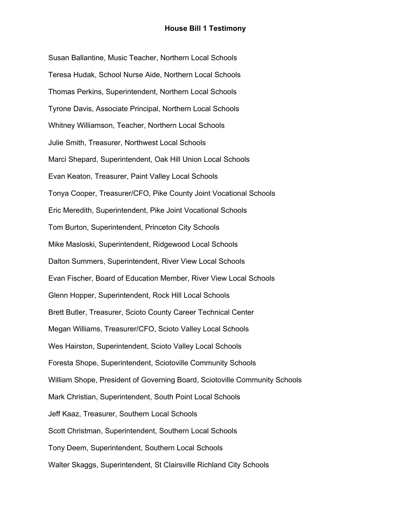Susan Ballantine, Music Teacher, Northern Local Schools Teresa Hudak, School Nurse Aide, Northern Local Schools Thomas Perkins, Superintendent, Northern Local Schools Tyrone Davis, Associate Principal, Northern Local Schools Whitney Williamson, Teacher, Northern Local Schools Julie Smith, Treasurer, Northwest Local Schools Marci Shepard, Superintendent, Oak Hill Union Local Schools Evan Keaton, Treasurer, Paint Valley Local Schools Tonya Cooper, Treasurer/CFO, Pike County Joint Vocational Schools Eric Meredith, Superintendent, Pike Joint Vocational Schools Tom Burton, Superintendent, Princeton City Schools Mike Masloski, Superintendent, Ridgewood Local Schools Dalton Summers, Superintendent, River View Local Schools Evan Fischer, Board of Education Member, River View Local Schools Glenn Hopper, Superintendent, Rock Hill Local Schools Brett Butler, Treasurer, Scioto County Career Technical Center Megan Williams, Treasurer/CFO, Scioto Valley Local Schools Wes Hairston, Superintendent, Scioto Valley Local Schools Foresta Shope, Superintendent, Sciotoville Community Schools William Shope, President of Governing Board, Sciotoville Community Schools Mark Christian, Superintendent, South Point Local Schools Jeff Kaaz, Treasurer, Southern Local Schools Scott Christman, Superintendent, Southern Local Schools Tony Deem, Superintendent, Southern Local Schools Walter Skaggs, Superintendent, St Clairsville Richland City Schools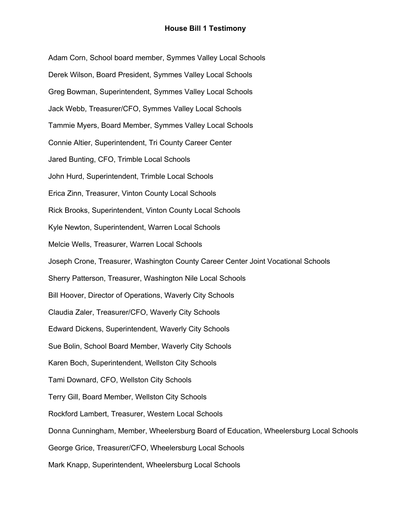Adam Corn, School board member, Symmes Valley Local Schools Derek Wilson, Board President, Symmes Valley Local Schools Greg Bowman, Superintendent, Symmes Valley Local Schools Jack Webb, Treasurer/CFO, Symmes Valley Local Schools Tammie Myers, Board Member, Symmes Valley Local Schools Connie Altier, Superintendent, Tri County Career Center Jared Bunting, CFO, Trimble Local Schools John Hurd, Superintendent, Trimble Local Schools Erica Zinn, Treasurer, Vinton County Local Schools Rick Brooks, Superintendent, Vinton County Local Schools Kyle Newton, Superintendent, Warren Local Schools Melcie Wells, Treasurer, Warren Local Schools Joseph Crone, Treasurer, Washington County Career Center Joint Vocational Schools Sherry Patterson, Treasurer, Washington Nile Local Schools Bill Hoover, Director of Operations, Waverly City Schools Claudia Zaler, Treasurer/CFO, Waverly City Schools Edward Dickens, Superintendent, Waverly City Schools Sue Bolin, School Board Member, Waverly City Schools Karen Boch, Superintendent, Wellston City Schools Tami Downard, CFO, Wellston City Schools Terry Gill, Board Member, Wellston City Schools Rockford Lambert, Treasurer, Western Local Schools Donna Cunningham, Member, Wheelersburg Board of Education, Wheelersburg Local Schools George Grice, Treasurer/CFO, Wheelersburg Local Schools Mark Knapp, Superintendent, Wheelersburg Local Schools